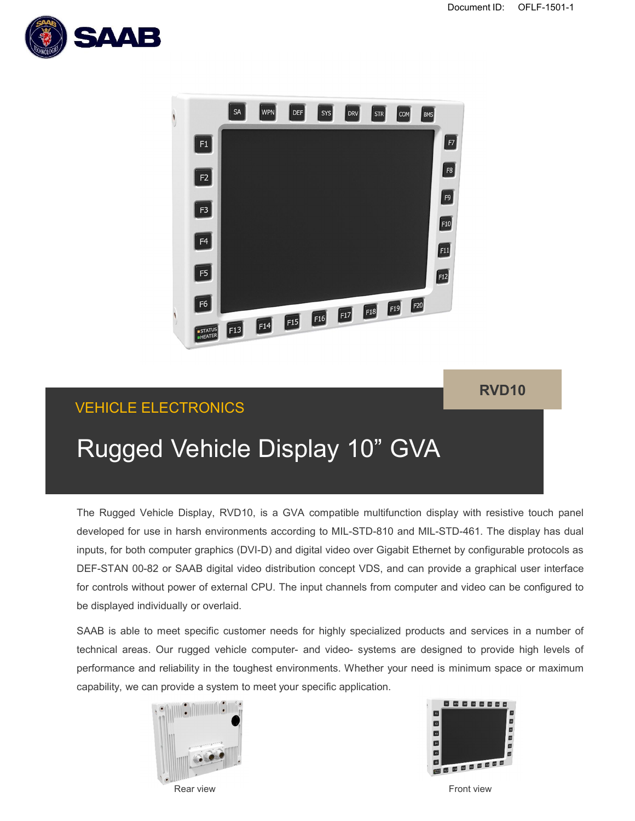



## **RVD10**

# VEHICLE ELECTRONICS

# Rugged Vehicle Display 10" GVA

The Rugged Vehicle Display, RVD10, is a GVA compatible multifunction display with resistive touch panel developed for use in harsh environments according to MIL-STD-810 and MIL-STD-461. The display has dual inputs, for both computer graphics (DVI-D) and digital video over Gigabit Ethernet by configurable protocols as DEF-STAN 00-82 or SAAB digital video distribution concept VDS, and can provide a graphical user interface for controls without power of external CPU. The input channels from computer and video can be configured to be displayed individually or overlaid.

SAAB is able to meet specific customer needs for highly specialized products and services in a number of technical areas. Our rugged vehicle computer- and video- systems are designed to provide high levels of performance and reliability in the toughest environments. Whether your need is minimum space or maximum capability, we can provide a system to meet your specific application.





Rear view Front view